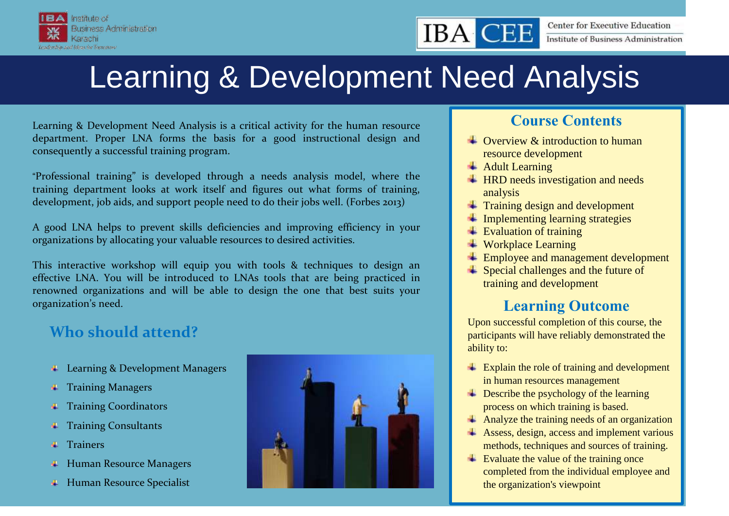

### **Center for Executive Education** Institute of Business Administration

# Learning & Development Need Analysis

Learning & Development Need Analysis is a critical activity for the human resource department. Proper LNA forms the basis for a good instructional design and consequently a successful training program.

"Professional training" is developed through a needs analysis model, where the training department looks at work itself and figures out what forms of training, development, job aids, and support people need to do their jobs well. (Forbes 2013)

A good LNA helps to prevent skills deficiencies and improving efficiency in your organizations by allocating your valuable resources to desired activities.

This interactive workshop will equip you with tools & techniques to design an effective LNA. You will be introduced to LNAs tools that are being practiced in renowned organizations and will be able to design the one that best suits your organization's need.

# **Who should attend?**

- **Learning & Development Managers**
- **Training Managers**
- Training Coordinators 4
- Training Consultants ٠
- Trainers a.
- Human Resource Managers 4.
- **Human Resource Specialist**



## **Course Contents**

- $\triangle$  Overview & introduction to human resource development
- **Adult Learning**

**IBA** 

- **HRD needs investigation and needs** analysis
- $\pm$  Training design and development
- $\ddot{\phantom{1}}$  Implementing learning strategies
- $\overline{\phantom{a}}$  Evaluation of training
- **Workplace Learning**
- **Employee and management development**
- Special challenges and the future of training and development

# **Learning Outcome**

Upon successful completion of this course, the participants will have reliably demonstrated the ability to:

- **Explain the role of training and development** in human resources management
- **EXECRED** Exercibe the psychology of the learning process on which training is based.
- Analyze the training needs of an organization
- Assess, design, access and implement various methods, techniques and sources of training.
- $\overline{\phantom{a}}$  Evaluate the value of the training once completed from the individual employee and the organization's viewpoint